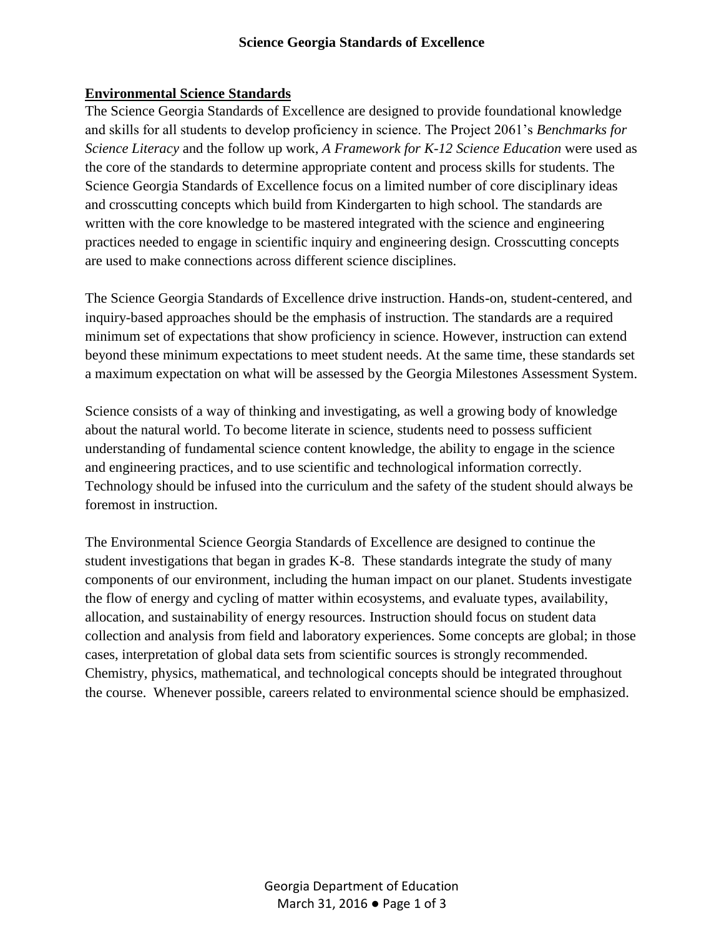#### **Environmental Science Standards**

The Science Georgia Standards of Excellence are designed to provide foundational knowledge and skills for all students to develop proficiency in science. The Project 2061's *Benchmarks for Science Literacy* and the follow up work, *A Framework for K-12 Science Education* were used as the core of the standards to determine appropriate content and process skills for students. The Science Georgia Standards of Excellence focus on a limited number of core disciplinary ideas and crosscutting concepts which build from Kindergarten to high school. The standards are written with the core knowledge to be mastered integrated with the science and engineering practices needed to engage in scientific inquiry and engineering design. Crosscutting concepts are used to make connections across different science disciplines.

The Science Georgia Standards of Excellence drive instruction. Hands-on, student-centered, and inquiry-based approaches should be the emphasis of instruction. The standards are a required minimum set of expectations that show proficiency in science. However, instruction can extend beyond these minimum expectations to meet student needs. At the same time, these standards set a maximum expectation on what will be assessed by the Georgia Milestones Assessment System.

Science consists of a way of thinking and investigating, as well a growing body of knowledge about the natural world. To become literate in science, students need to possess sufficient understanding of fundamental science content knowledge, the ability to engage in the science and engineering practices, and to use scientific and technological information correctly. Technology should be infused into the curriculum and the safety of the student should always be foremost in instruction.

The Environmental Science Georgia Standards of Excellence are designed to continue the student investigations that began in grades K-8. These standards integrate the study of many components of our environment, including the human impact on our planet. Students investigate the flow of energy and cycling of matter within ecosystems, and evaluate types, availability, allocation, and sustainability of energy resources. Instruction should focus on student data collection and analysis from field and laboratory experiences. Some concepts are global; in those cases, interpretation of global data sets from scientific sources is strongly recommended. Chemistry, physics, mathematical, and technological concepts should be integrated throughout the course. Whenever possible, careers related to environmental science should be emphasized.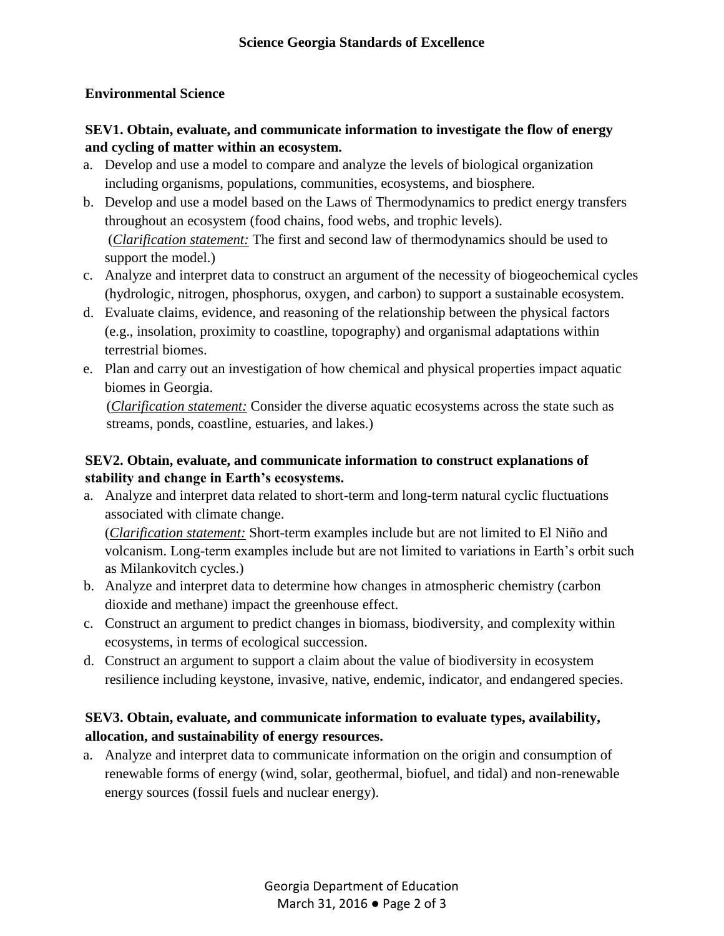#### **Environmental Science**

### **SEV1. Obtain, evaluate, and communicate information to investigate the flow of energy and cycling of matter within an ecosystem.**

- a. Develop and use a model to compare and analyze the levels of biological organization including organisms, populations, communities, ecosystems, and biosphere.
- b. Develop and use a model based on the Laws of Thermodynamics to predict energy transfers throughout an ecosystem (food chains, food webs, and trophic levels). (*Clarification statement:* The first and second law of thermodynamics should be used to support the model.)
- c. Analyze and interpret data to construct an argument of the necessity of biogeochemical cycles (hydrologic, nitrogen, phosphorus, oxygen, and carbon) to support a sustainable ecosystem.
- d. Evaluate claims, evidence, and reasoning of the relationship between the physical factors (e.g., insolation, proximity to coastline, topography) and organismal adaptations within terrestrial biomes.
- e. Plan and carry out an investigation of how chemical and physical properties impact aquatic biomes in Georgia.

(*Clarification statement:* Consider the diverse aquatic ecosystems across the state such as streams, ponds, coastline, estuaries, and lakes.)

### **SEV2. Obtain, evaluate, and communicate information to construct explanations of stability and change in Earth's ecosystems.**

a. Analyze and interpret data related to short-term and long-term natural cyclic fluctuations associated with climate change.

(*Clarification statement:* Short-term examples include but are not limited to El Niño and volcanism. Long-term examples include but are not limited to variations in Earth's orbit such as Milankovitch cycles.)

- b. Analyze and interpret data to determine how changes in atmospheric chemistry (carbon dioxide and methane) impact the greenhouse effect.
- c. Construct an argument to predict changes in biomass, biodiversity, and complexity within ecosystems, in terms of ecological succession.
- d. Construct an argument to support a claim about the value of biodiversity in ecosystem resilience including keystone, invasive, native, endemic, indicator, and endangered species.

### **SEV3. Obtain, evaluate, and communicate information to evaluate types, availability, allocation, and sustainability of energy resources.**

a. Analyze and interpret data to communicate information on the origin and consumption of renewable forms of energy (wind, solar, geothermal, biofuel, and tidal) and non-renewable energy sources (fossil fuels and nuclear energy).